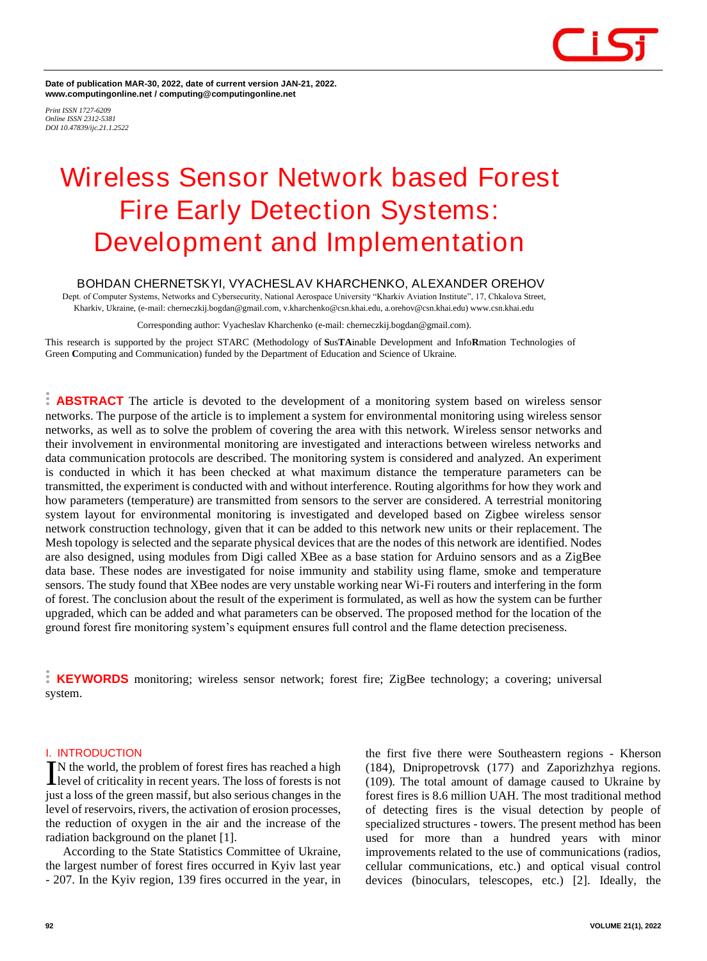

**Date of publication MAR-30, 2022, date of current version JAN-21, 2022. www.computingonline.net / computing@computingonline.net**

*Print ISSN 1727-6209 Online ISSN 2312-5381 DOI 10.47839/ijc.21.1.2522*

# **Wireless Sensor Network based Forest Fire Early Detection Systems: Development and Implementation**

# **BOHDAN CHERNETSKYI, VYACHESLAV KHARCHENKO, ALEXANDER OREHOV**

Dept. of Computer Systems, Networks and Cybersecurity, National Aerospace University "Kharkiv Aviation Institute", 17, Chkalova Street, Kharkiv, Ukraine, (e-mail: cherneczkij.bogdan@gmail.com, v.kharchenko@csn.khai.edu, a.orehov@csn.khai.edu) www.csn.khai.edu

Corresponding author: Vyacheslav Kharchenko (e-mail: cherneczkij.bogdan@gmail.com).

This research is supported by the project STARC (Methodology of **S**us**TA**inable Development and Info**R**mation Technologies of Green **C**omputing and Communication) funded by the Department of Education and Science of Ukraine.

**ABSTRACT** The article is devoted to the development of a monitoring system based on wireless sensor networks. The purpose of the article is to implement a system for environmental monitoring using wireless sensor networks, as well as to solve the problem of covering the area with this network. Wireless sensor networks and their involvement in environmental monitoring are investigated and interactions between wireless networks and data communication protocols are described. The monitoring system is considered and analyzed. An experiment is conducted in which it has been checked at what maximum distance the temperature parameters can be transmitted, the experiment is conducted with and without interference. Routing algorithms for how they work and how parameters (temperature) are transmitted from sensors to the server are considered. A terrestrial monitoring system layout for environmental monitoring is investigated and developed based on Zigbee wireless sensor network construction technology, given that it can be added to this network new units or their replacement. The Mesh topology is selected and the separate physical devices that are the nodes of this network are identified. Nodes are also designed, using modules from Digi called XBee as a base station for Arduino sensors and as a ZigBee data base. These nodes are investigated for noise immunity and stability using flame, smoke and temperature sensors. The study found that XBee nodes are very unstable working near Wi-Fi routers and interfering in the form of forest. The conclusion about the result of the experiment is formulated, as well as how the system can be further upgraded, which can be added and what parameters can be observed. The proposed method for the location of the ground forest fire monitoring system's equipment ensures full control and the flame detection preciseness.

**KEYWORDS** monitoring; wireless sensor network; forest fire; ZigBee technology; a covering; universal system.

#### **I. INTRODUCTION**

N the world, the problem of forest fires has reached a high<br>level of criticality in recent years. The loss of forests is not **Level** of criticality in recent years. The loss of forests is not just a loss of the green massif, but also serious changes in the level of reservoirs, rivers, the activation of erosion processes, the reduction of oxygen in the air and the increase of the radiation background on the planet [1].

According to the State Statistics Committee of Ukraine, the largest number of forest fires occurred in Kyiv last year - 207. In the Kyiv region, 139 fires occurred in the year, in

the first five there were Southeastern regions - Kherson (184), Dnipropetrovsk (177) and Zaporizhzhya regions. (109). The total amount of damage caused to Ukraine by forest fires is 8.6 million UAH. The most traditional method of detecting fires is the visual detection by people of specialized structures - towers. The present method has been used for more than a hundred years with minor improvements related to the use of communications (radios, cellular communications, etc.) and optical visual control devices (binoculars, telescopes, etc.) [2]. Ideally, the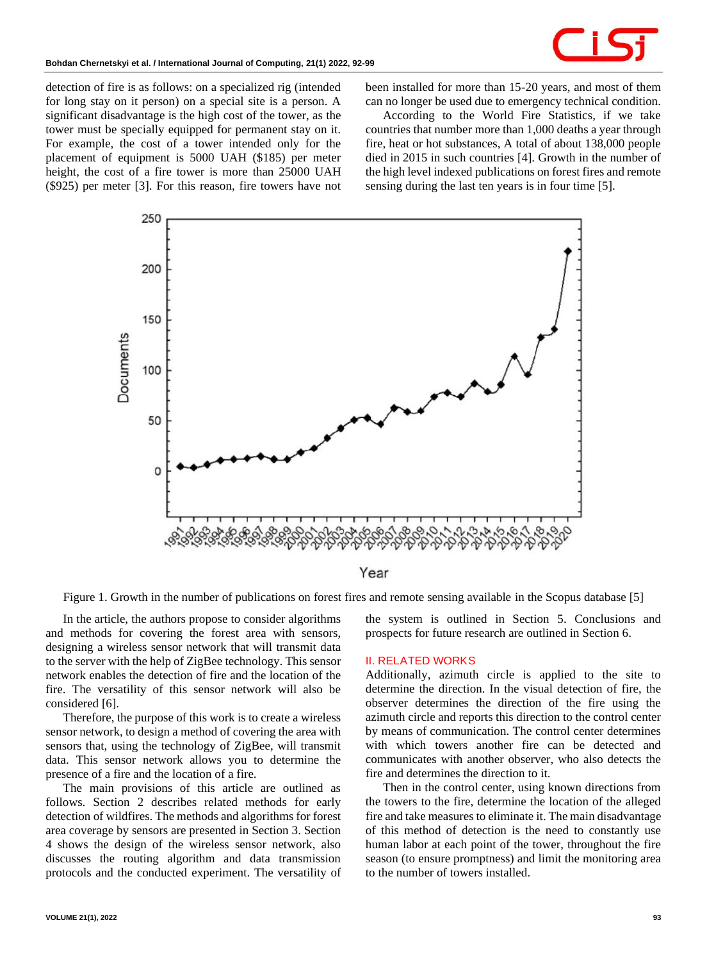

detection of fire is as follows: on a specialized rig (intended for long stay on it person) on a special site is a person. A significant disadvantage is the high cost of the tower, as the tower must be specially equipped for permanent stay on it. For example, the cost of a tower intended only for the placement of equipment is 5000 UAH (\$185) per meter height, the cost of a fire tower is more than 25000 UAH (\$925) per meter [3]. For this reason, fire towers have not been installed for more than 15-20 years, and most of them can no longer be used due to emergency technical condition.

According to the World Fire Statistics, if we take countries that number more than 1,000 deaths a year through fire, heat or hot substances, A total of about 138,000 people died in 2015 in such countries [4]. Growth in the number of the high level indexed publications on forest fires and remote sensing during the last ten years is in four time [5].



Year

Figure 1. Growth in the number of publications on forest fires and remote sensing available in the Scopus database [5]

In the article, the authors propose to consider algorithms and methods for covering the forest area with sensors, designing a wireless sensor network that will transmit data to the server with the help of ZigBee technology. This sensor network enables the detection of fire and the location of the fire. The versatility of this sensor network will also be considered [6].

Therefore, the purpose of this work is to create a wireless sensor network, to design a method of covering the area with sensors that, using the technology of ZigBee, will transmit data. This sensor network allows you to determine the presence of a fire and the location of a fire.

The main provisions of this article are outlined as follows. Section 2 describes related methods for early detection of wildfires. The methods and algorithms for forest area coverage by sensors are presented in Section 3. Section 4 shows the design of the wireless sensor network, also discusses the routing algorithm and data transmission protocols and the conducted experiment. The versatility of the system is outlined in Section 5. Conclusions and prospects for future research are outlined in Section 6.

#### **II. RELATED WORKS**

Additionally, azimuth circle is applied to the site to determine the direction. In the visual detection of fire, the observer determines the direction of the fire using the azimuth circle and reports this direction to the control center by means of communication. The control center determines with which towers another fire can be detected and communicates with another observer, who also detects the fire and determines the direction to it.

Then in the control center, using known directions from the towers to the fire, determine the location of the alleged fire and take measures to eliminate it. The main disadvantage of this method of detection is the need to constantly use human labor at each point of the tower, throughout the fire season (to ensure promptness) and limit the monitoring area to the number of towers installed.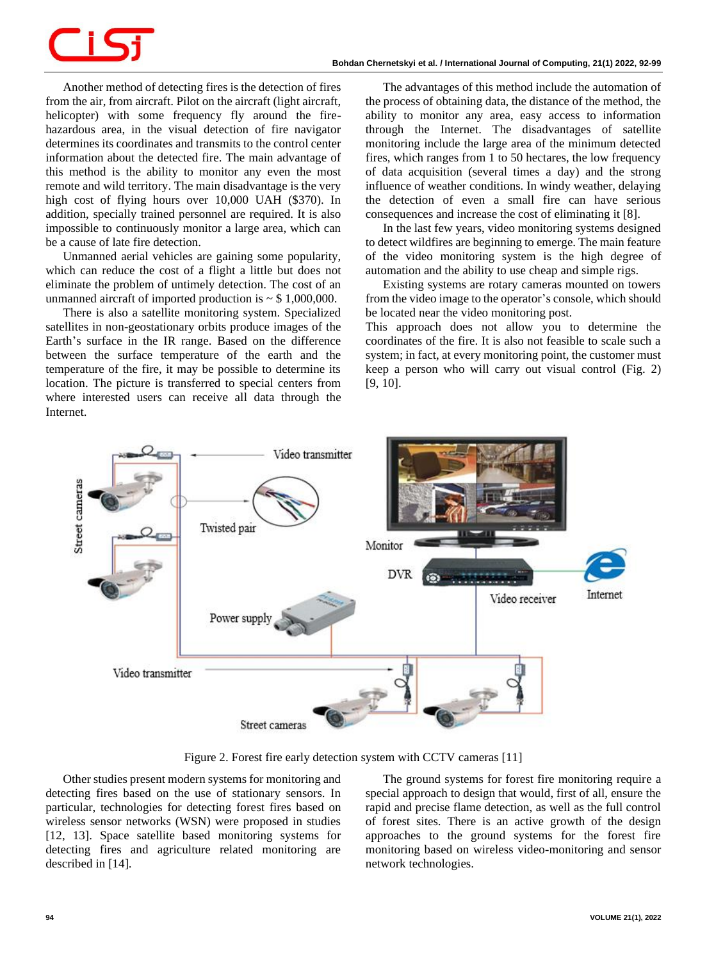Another method of detecting fires is the detection of fires from the air, from aircraft. Pilot on the aircraft (light aircraft, helicopter) with some frequency fly around the firehazardous area, in the visual detection of fire navigator determines its coordinates and transmits to the control center information about the detected fire. The main advantage of this method is the ability to monitor any even the most remote and wild territory. The main disadvantage is the very high cost of flying hours over 10,000 UAH (\$370). In addition, specially trained personnel are required. It is also impossible to continuously monitor a large area, which can be a cause of late fire detection.

Unmanned aerial vehicles are gaining some popularity, which can reduce the cost of a flight a little but does not eliminate the problem of untimely detection. The cost of an unmanned aircraft of imported production is  $\sim$  \$ 1,000,000.

There is also a satellite monitoring system. Specialized satellites in non-geostationary orbits produce images of the Earth's surface in the IR range. Based on the difference between the surface temperature of the earth and the temperature of the fire, it may be possible to determine its location. The picture is transferred to special centers from where interested users can receive all data through the Internet.

The advantages of this method include the automation of the process of obtaining data, the distance of the method, the ability to monitor any area, easy access to information through the Internet. The disadvantages of satellite monitoring include the large area of the minimum detected fires, which ranges from 1 to 50 hectares, the low frequency of data acquisition (several times a day) and the strong influence of weather conditions. In windy weather, delaying the detection of even a small fire can have serious consequences and increase the cost of eliminating it [8].

In the last few years, video monitoring systems designed to detect wildfires are beginning to emerge. The main feature of the video monitoring system is the high degree of automation and the ability to use cheap and simple rigs.

Existing systems are rotary cameras mounted on towers from the video image to the operator's console, which should be located near the video monitoring post.

This approach does not allow you to determine the coordinates of the fire. It is also not feasible to scale such a system; in fact, at every monitoring point, the customer must keep a person who will carry out visual control (Fig. 2) [9, 10].



Figure 2. Forest fire early detection system with CCTV cameras [11]

Other studies present modern systems for monitoring and detecting fires based on the use of stationary sensors. In particular, technologies for detecting forest fires based on wireless sensor networks (WSN) were proposed in studies [12, 13]. Space satellite based monitoring systems for detecting fires and agriculture related monitoring are described in [14].

The ground systems for forest fire monitoring require a special approach to design that would, first of all, ensure the rapid and precise flame detection, as well as the full control of forest sites. There is an active growth of the design approaches to the ground systems for the forest fire monitoring based on wireless video-monitoring and sensor network technologies.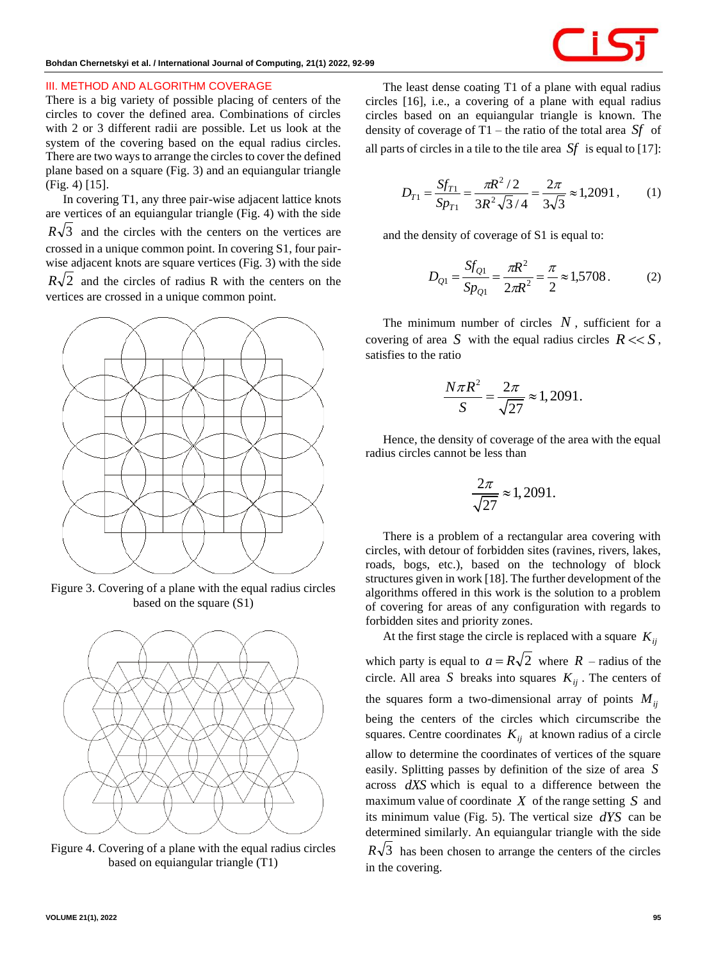

#### **III. METHOD AND ALGORITHM COVERAGE**

There is a big variety of possible placing of centers of the circles to cover the defined area. Combinations of circles with 2 or 3 different radii are possible. Let us look at the system of the covering based on the equal radius circles. There are two ways to arrange the circles to cover the defined plane based on a square (Fig. 3) and an equiangular triangle (Fig. 4) [15].

In covering T1, any three pair-wise adjacent lattice knots are vertices of an equiangular triangle (Fig. 4) with the side  $R\sqrt{3}$  and the circles with the centers on the vertices are crossed in a unique common point. In covering S1, four pairwise adjacent knots are square vertices (Fig. 3) with the side

 $R\sqrt{2}$  and the circles of radius R with the centers on the vertices are crossed in a unique common point.



Figure 3. Covering of a plane with the equal radius circles based on the square (S1)



Figure 4. Covering of a plane with the equal radius circles based on equiangular triangle (T1)

The least dense coating T1 of a plane with equal radius circles [16], i.e., a covering of a plane with equal radius circles based on an equiangular triangle is known. The density of coverage of T1 – the ratio of the total area *Sf* of all parts of circles in a tile to the tile area *Sf* is equal to [17]:

$$
D_{T1} = \frac{Sf_{T1}}{Sp_{T1}} = \frac{\pi R^2 / 2}{3R^2 \sqrt{3}/4} = \frac{2\pi}{3\sqrt{3}} \approx 1,2091,
$$
 (1)

and the density of coverage of S1 is equal to:

$$
D_{Q1} = \frac{Sf_{Q1}}{Sp_{Q1}} = \frac{\pi R^2}{2\pi R^2} = \frac{\pi}{2} \approx 1,5708. \tag{2}
$$

The minimum number of circles  $N$ , sufficient for a covering of area S with the equal radius circles  $R \ll S$ , satisfies to the ratio

$$
\frac{N\pi R^2}{S} = \frac{2\pi}{\sqrt{27}} \approx 1,2091.
$$

Hence, the density of coverage of the area with the equal radius circles cannot be less than

$$
\frac{2\pi}{\sqrt{27}} \approx 1,2091.
$$

There is a problem of a rectangular area covering with circles, with detour of forbidden sites (ravines, rivers, lakes, roads, bogs, etc.), based on the technology of block structures given in work [18]. The further development of the algorithms offered in this work is the solution to a problem of covering for areas of any configuration with regards to forbidden sites and priority zones.

At the first stage the circle is replaced with a square *Kij*

which party is equal to  $a = R\sqrt{2}$  where  $R$  – radius of the circle. All area *S* breaks into squares  $K_{ij}$ . The centers of the squares form a two-dimensional array of points  $M_{ij}$ being the centers of the circles which circumscribe the squares. Centre coordinates  $K_{ij}$  at known radius of a circle allow to determine the coordinates of vertices of the square easily. Splitting passes by definition of the size of area *S* across *dXS* which is equal to a difference between the maximum value of coordinate  $X$  of the range setting  $S$  and its minimum value (Fig. 5). The vertical size *dYS* can be determined similarly. An equiangular triangle with the side  $R\sqrt{3}$  has been chosen to arrange the centers of the circles in the covering.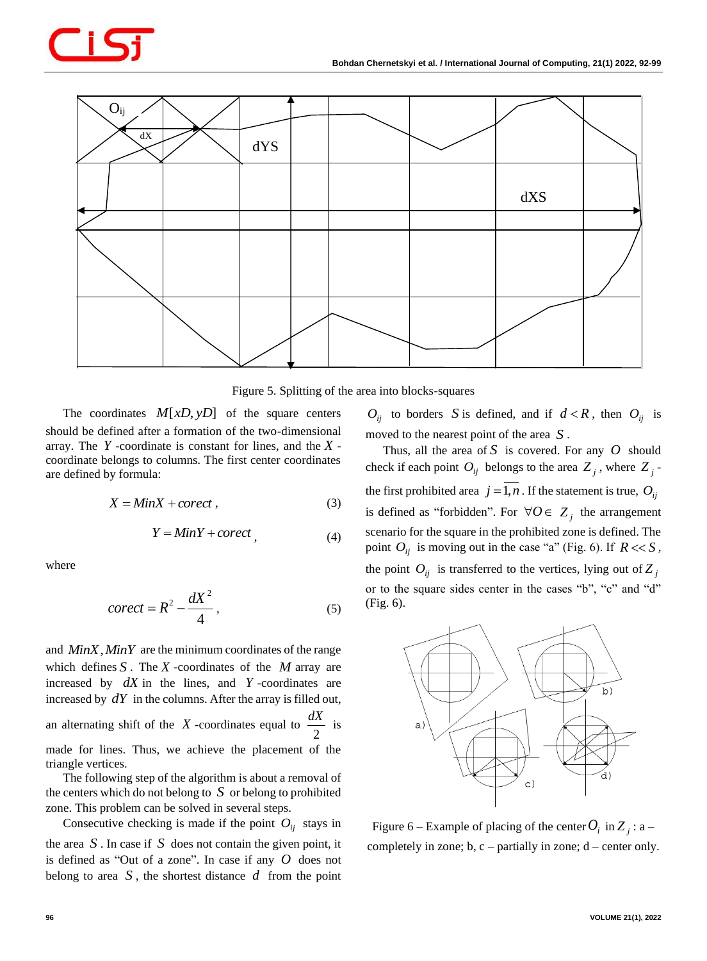

Figure 5. Splitting of the area into blocks-squares

The coordinates  $M[xD, yD]$  of the square centers should be defined after a formation of the two-dimensional array. The *Y* -coordinate is constant for lines, and the *X* coordinate belongs to columns. The first center coordinates are defined by formula:

$$
X = MinX + correct , \t\t(3)
$$

$$
Y = MinY + correct \tag{4}
$$

where

$$
correct = R^2 - \frac{dX^2}{4},\tag{5}
$$

and *MinX*,*MinY* are the minimum coordinates of the range which defines  $S$ . The  $X$ -coordinates of the  $M$  array are increased by  $dX$  in the lines, and  $Y$ -coordinates are increased by  $dY$  in the columns. After the array is filled out, an alternating shift of the  $X$ -coordinates equal to 2  $\frac{dX}{dx}$  is made for lines. Thus, we achieve the placement of the triangle vertices.

The following step of the algorithm is about a removal of the centers which do not belong to *S* or belong to prohibited zone. This problem can be solved in several steps.

Consecutive checking is made if the point  $O_{ij}$  stays in the area  $S$ . In case if  $S$  does not contain the given point, it is defined as "Out of a zone". In case if any *O* does not belong to area  $S$ , the shortest distance  $d$  from the point

 $O_{ij}$  to borders *S* is defined, and if  $d < R$ , then  $O_{ij}$  is moved to the nearest point of the area *S* .

Thus, all the area of  $S$  is covered. For any  $O$  should check if each point  $O_{ij}$  belongs to the area  $Z_j$ , where  $Z_j$ the first prohibited area  $j = 1, n$ . If the statement is true,  $O_{ij}$ is defined as "forbidden". For  $\forall O \in Z_j$  the arrangement scenario for the square in the prohibited zone is defined. The point  $O_{ij}$  is moving out in the case "a" (Fig. 6). If  $R \ll S$ , the point  $O_{ij}$  is transferred to the vertices, lying out of  $Z_j$ or to the square sides center in the cases "b", "c" and "d" (Fig. 6).



Figure 6 – Example of placing of the center  $O_i$  in  $Z_j$  : a – completely in zone;  $b, c$  – partially in zone;  $d$  – center only.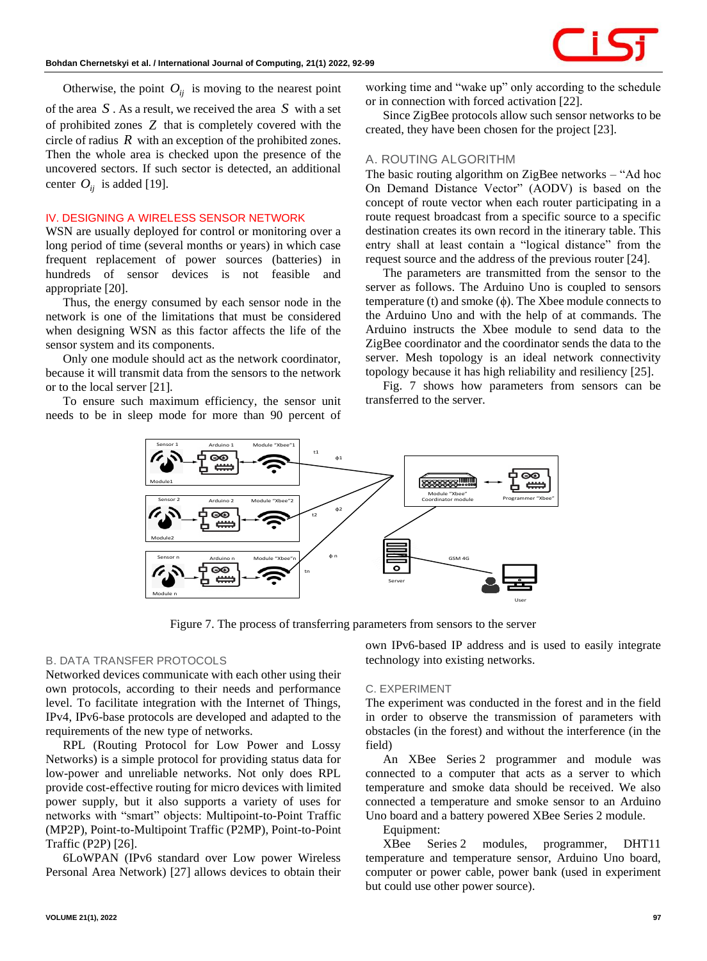Otherwise, the point  $O_{ij}$  is moving to the nearest point

of the area *S* . As a result, we received the area *S* with a set of prohibited zones *Z* that is completely covered with the circle of radius  $R$  with an exception of the prohibited zones. Then the whole area is checked upon the presence of the uncovered sectors. If such sector is detected, an additional center  $O_{ij}$  is added [19].

# **IV. DESIGNING A WIRELESS SENSOR NETWORK**

WSN are usually deployed for control or monitoring over a long period of time (several months or years) in which case frequent replacement of power sources (batteries) in hundreds of sensor devices is not feasible and appropriate [20].

Thus, the energy consumed by each sensor node in the network is one of the limitations that must be considered when designing WSN as this factor affects the life of the sensor system and its components.

Only one module should act as the network coordinator, because it will transmit data from the sensors to the network or to the local server [21].

To ensure such maximum efficiency, the sensor unit needs to be in sleep mode for more than 90 percent of working time and "wake up" only according to the schedule or in connection with forced activation [22].

Since ZigBee protocols allow such sensor networks to be created, they have been chosen for the project [23].

# *A. ROUTING ALGORITHM*

The basic routing algorithm on ZigBee networks – "Ad hoc On Demand Distance Vector" (AODV) is based on the concept of route vector when each router participating in a route request broadcast from a specific source to a specific destination creates its own record in the itinerary table. This entry shall at least contain a "logical distance" from the request source and the address of the previous router [24].

The parameters are transmitted from the sensor to the server as follows. The Arduino Uno is coupled to sensors temperature (t) and smoke  $(\phi)$ . The Xbee module connects to the Arduino Uno and with the help of at commands. The Arduino instructs the Xbee module to send data to the ZigBee coordinator and the coordinator sends the data to the server. Mesh topology is an ideal network connectivity topology because it has high reliability and resiliency [25].

Fig. 7 shows how parameters from sensors can be transferred to the server.



Figure 7. The process of transferring parameters from sensors to the server

# *B. DATA TRANSFER PROTOCOLS*

Networked devices communicate with each other using their own protocols, according to their needs and performance level. To facilitate integration with the Internet of Things, IPv4, IPv6-base protocols are developed and adapted to the requirements of the new type of networks.

RPL (Routing Protocol for Low Power and Lossy Networks) is a simple protocol for providing status data for low-power and unreliable networks. Not only does RPL provide cost-effective routing for micro devices with limited power supply, but it also supports a variety of uses for networks with "smart" objects: Multipoint-to-Point Traffic (MP2P), Point-to-Multipoint Traffic (P2MP), Point-to-Point Traffic (P2P) [26].

6LoWPAN (IPv6 standard over Low power Wireless Personal Area Network) [27] allows devices to obtain their own IPv6-based IP address and is used to easily integrate technology into existing networks.

# *C. EXPERIMENT*

The experiment was conducted in the forest and in the field in order to observe the transmission of parameters with obstacles (in the forest) and without the interference (in the field)

An XBee Series 2 programmer and module was connected to a computer that acts as a server to which temperature and smoke data should be received. We also connected a temperature and smoke sensor to an Arduino Uno board and a battery powered XBee Series 2 module.

#### Equipment:

XBee Series 2 modules, programmer, DHT11 temperature and temperature sensor, Arduino Uno board, computer or power cable, power bank (used in experiment but could use other power source).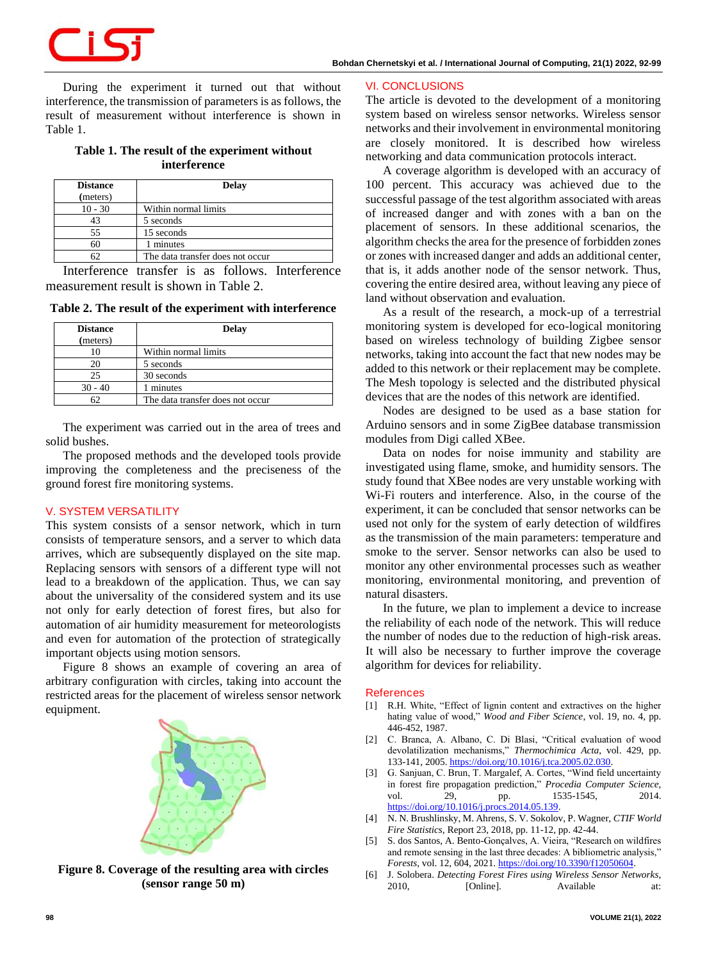During the experiment it turned out that without interference, the transmission of parameters is as follows, the result of measurement without interference is shown in Table 1.

# **Table 1. The result of the experiment without interference**

| <b>Distance</b><br>(meters) | Delay                            |
|-----------------------------|----------------------------------|
| $10 - 30$                   | Within normal limits             |
| 43                          | 5 seconds                        |
| 55                          | 15 seconds                       |
| 60                          | 1 minutes                        |
|                             | The data transfer does not occur |

Interference transfer is as follows. Interference measurement result is shown in Table 2.

**Table 2. The result of the experiment with interference**

| <b>Distance</b><br>(meters) | <b>Delay</b>                     |
|-----------------------------|----------------------------------|
|                             | Within normal limits             |
| 20                          | 5 seconds                        |
| 25                          | 30 seconds                       |
| $30 - 40$                   | 1 minutes                        |
|                             | The data transfer does not occur |

The experiment was carried out in the area of trees and solid bushes.

The proposed methods and the developed tools provide improving the completeness and the preciseness of the ground forest fire monitoring systems.

## **V. SYSTEM VERSATILITY**

This system consists of a sensor network, which in turn consists of temperature sensors, and a server to which data arrives, which are subsequently displayed on the site map. Replacing sensors with sensors of a different type will not lead to a breakdown of the application. Thus, we can say about the universality of the considered system and its use not only for early detection of forest fires, but also for automation of air humidity measurement for meteorologists and even for automation of the protection of strategically important objects using motion sensors.

Figure 8 shows an example of covering an area of arbitrary configuration with circles, taking into account the restricted areas for the placement of wireless sensor network equipment.



**Figure 8. Coverage of the resulting area with circles (sensor range 50 m)**

#### **VI. CONCLUSIONS**

The article is devoted to the development of a monitoring system based on wireless sensor networks. Wireless sensor networks and their involvement in environmental monitoring are closely monitored. It is described how wireless networking and data communication protocols interact.

A coverage algorithm is developed with an accuracy of 100 percent. This accuracy was achieved due to the successful passage of the test algorithm associated with areas of increased danger and with zones with a ban on the placement of sensors. In these additional scenarios, the algorithm checks the area for the presence of forbidden zones or zones with increased danger and adds an additional center, that is, it adds another node of the sensor network. Thus, covering the entire desired area, without leaving any piece of land without observation and evaluation.

As a result of the research, a mock-up of a terrestrial monitoring system is developed for eco-logical monitoring based on wireless technology of building Zigbee sensor networks, taking into account the fact that new nodes may be added to this network or their replacement may be complete. The Mesh topology is selected and the distributed physical devices that are the nodes of this network are identified.

Nodes are designed to be used as a base station for Arduino sensors and in some ZigBee database transmission modules from Digi called XBee.

Data on nodes for noise immunity and stability are investigated using flame, smoke, and humidity sensors. The study found that XBee nodes are very unstable working with Wi-Fi routers and interference. Also, in the course of the experiment, it can be concluded that sensor networks can be used not only for the system of early detection of wildfires as the transmission of the main parameters: temperature and smoke to the server. Sensor networks can also be used to monitor any other environmental processes such as weather monitoring, environmental monitoring, and prevention of natural disasters.

In the future, we plan to implement a device to increase the reliability of each node of the network. This will reduce the number of nodes due to the reduction of high-risk areas. It will also be necessary to further improve the coverage algorithm for devices for reliability.

#### **References**

- [1] R.H. White, "Effect of lignin content and extractives on the higher hating value of wood," *Wood and Fiber Science*, vol. 19, no. 4, pp. 446-452, 1987.
- [2] C. Branca, A. Albano, C. Di Blasi, "Critical evaluation of wood devolatilization mechanisms," *Thermochimica Acta*, vol. 429, pp. 133-141, 2005[. https://doi.org/10.1016/j.tca.2005.02.030.](https://doi.org/10.1016/j.tca.2005.02.030)
- [3] G. Sanjuan, C. Brun, T. Margalef, A. Cortes, "Wind field uncertainty in forest fire propagation prediction," *Procedia Computer Science*, vol. 29, pp. 1535-1545, 2014. [https://doi.org/10.1016/j.procs.2014.05.139.](https://doi.org/10.1016/j.procs.2014.05.139)
- [4] N. N. Brushlinsky, M. Ahrens, S. V. Sokolov, P. Wagner, *CTIF World Fire Statistics*, Report 23, 2018, pp. 11-12, pp. 42-44.
- [5] S. dos Santos, A. Bento-Gonçalves, A. Vieira, "Research on wildfires and remote sensing in the last three decades: A bibliometric analysis," *Forests*, vol. 12, 604, 2021[. https://doi.org/10.3390/f12050604.](https://doi.org/10.3390/f12050604)
- [6] J. Solobera. *Detecting Forest Fires using Wireless Sensor Networks*, 2010, [Online]. Available at: